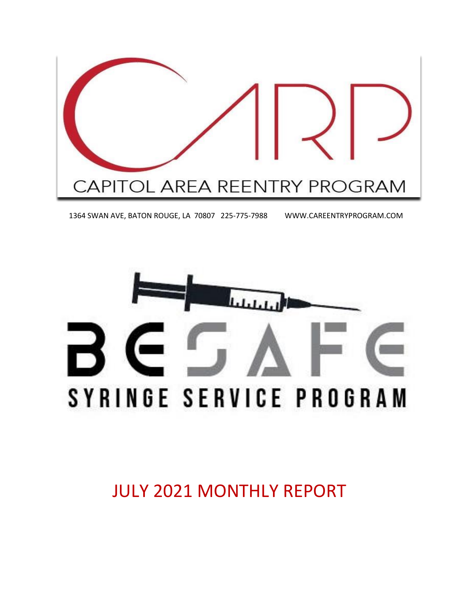

1364 SWAN AVE, BATON ROUGE, LA 70807 225-775-7988 WWW.CAREENTRYPROGRAM.COM



JULY 2021 MONTHLY REPORT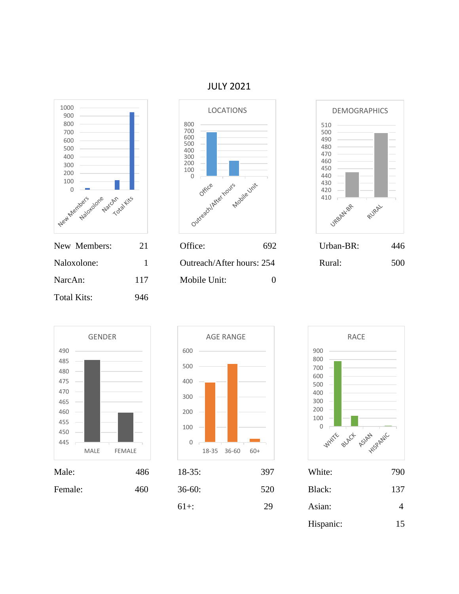### JULY 2021











| le Unit:         | 0 |
|------------------|---|
|                  |   |
|                  |   |
|                  |   |
|                  |   |
| <b>AGE RANGE</b> |   |
|                  |   |







| Male:   | 486 | $18-35:$   | 397 | White:    | 790            |
|---------|-----|------------|-----|-----------|----------------|
| Female: | 460 | $36 - 60:$ | 520 | Black:    | 137            |
|         |     | $61+$ :    | 29  | Asian:    | $\overline{4}$ |
|         |     |            |     | Hispanic: | 15             |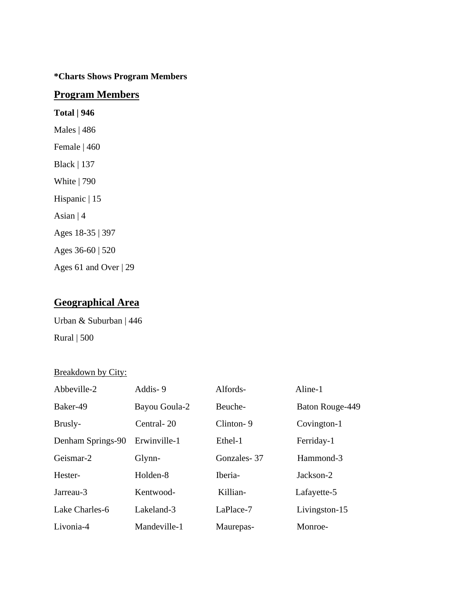#### **\*Charts Shows Program Members**

#### **Program Members**

**Total | 946** Males | 486 Female | 460 Black | 137 White | 790 Hispanic | 15 Asian | 4 Ages 18-35 | 397 Ages 36-60 | 520 Ages 61 and Over | 29

## **Geographical Area**

Urban & Suburban | 446 Rural | 500

#### Breakdown by City:

| Abbeville-2       | Addis-9       | Alfords-    | Aline-1         |
|-------------------|---------------|-------------|-----------------|
| Baker-49          | Bayou Goula-2 | Beuche-     | Baton Rouge-449 |
| Brusly-           | Central-20    | Clinton-9   | Covington-1     |
| Denham Springs-90 | Erwinville-1  | Ethel-1     | Ferriday-1      |
| Geismar-2         | Glynn-        | Gonzales-37 | Hammond-3       |
| Hester-           | Holden-8      | Iberia-     | Jackson-2       |
| Jarreau-3         | Kentwood-     | Killian-    | Lafayette-5     |
| Lake Charles-6    | Lakeland-3    | LaPlace-7   | Livingston-15   |
| Livonia-4         | Mandeville-1  | Maurepas-   | Monroe-         |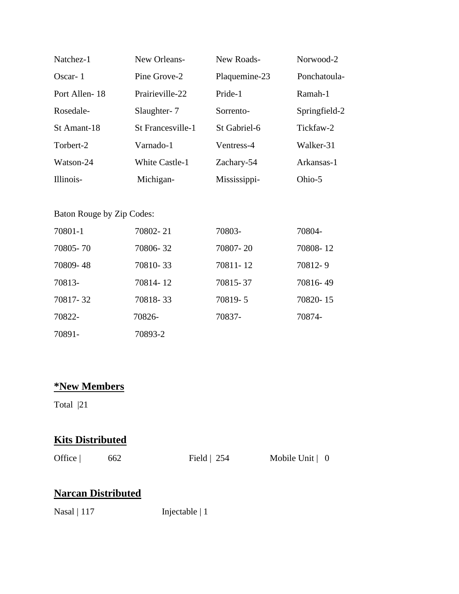| Natchez-1     | New Orleans-          | New Roads-    | Norwood-2     |
|---------------|-----------------------|---------------|---------------|
| $Oscar-1$     | Pine Grove-2          | Plaquemine-23 | Ponchatoula-  |
| Port Allen-18 | Prairieville-22       | Pride-1       | Ramah-1       |
| Rosedale-     | Slaughter-7           | Sorrento-     | Springfield-2 |
| St Amant-18   | St Francesville-1     | St Gabriel-6  | Tickfaw-2     |
| Torbert-2     | Varnado-1             | Ventress-4    | Walker-31     |
| Watson-24     | <b>White Castle-1</b> | Zachary-54    | Arkansas-1    |
| Illinois-     | Michigan-             | Mississippi-  | Ohio-5        |

#### Baton Rouge by Zip Codes:

| 70801-1  | 70802-21 | 70803-   | 70804-   |
|----------|----------|----------|----------|
| 70805-70 | 70806-32 | 70807-20 | 70808-12 |
| 70809-48 | 70810-33 | 70811-12 | 70812-9  |
| 70813-   | 70814-12 | 70815-37 | 70816-49 |
| 70817-32 | 70818-33 | 70819-5  | 70820-15 |
| 70822-   | 70826-   | 70837-   | 70874-   |
| 70891-   | 70893-2  |          |          |

## **\*New Members**

Total |21

## **Kits Distributed**

| Office $ $ | 662 |
|------------|-----|
|------------|-----|

Field | 254 Mobile Unit | 0

## **Narcan Distributed**

Nasal | 117 Injectable | 1